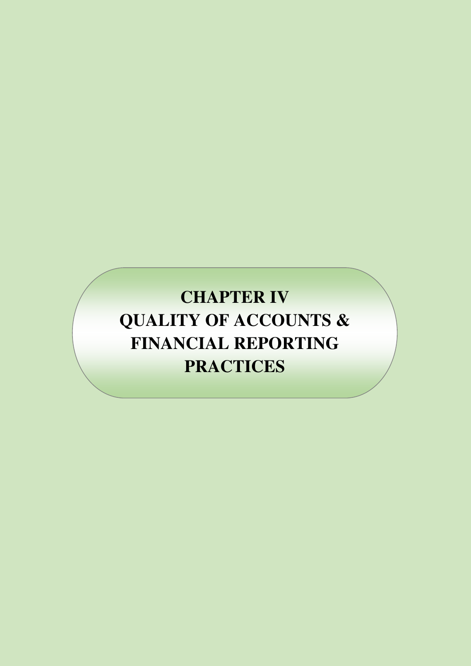# **CHAPTER IV QUALITY OF ACCOUNTS & FINANCIAL REPORTING PRACTICES**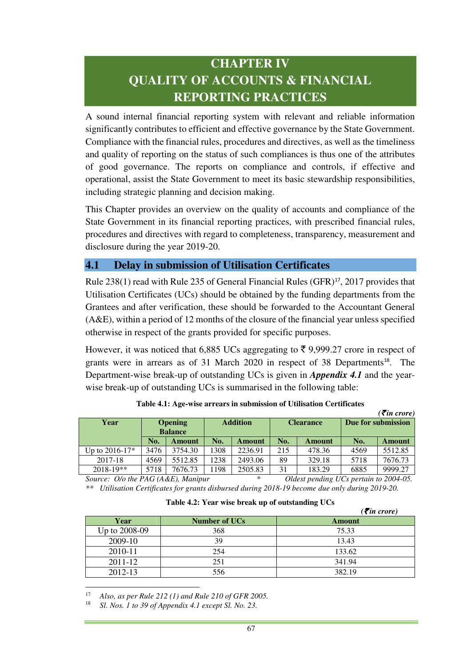# **CHAPTER IV QUALITY OF ACCOUNTS & FINANCIAL REPORTING PRACTICES**

A sound internal financial reporting system with relevant and reliable information significantly contributes to efficient and effective governance by the State Government. Compliance with the financial rules, procedures and directives, as well as the timeliness and quality of reporting on the status of such compliances is thus one of the attributes of good governance. The reports on compliance and controls, if effective and operational, assist the State Government to meet its basic stewardship responsibilities, including strategic planning and decision making.

This Chapter provides an overview on the quality of accounts and compliance of the State Government in its financial reporting practices, with prescribed financial rules, procedures and directives with regard to completeness, transparency, measurement and disclosure during the year 2019-20.

#### **4.1 Delay in submission of Utilisation Certificates**

Rule 238(1) read with Rule 235 of General Financial Rules (GFR)<sup>17</sup>, 2017 provides that Utilisation Certificates (UCs) should be obtained by the funding departments from the Grantees and after verification, these should be forwarded to the Accountant General (A&E), within a period of 12 months of the closure of the financial year unless specified otherwise in respect of the grants provided for specific purposes.

However, it was noticed that 6,885 UCs aggregating to  $\bar{\xi}$  9,999.27 crore in respect of grants were in arrears as of 31 March 2020 in respect of 38 Departments<sup>18</sup>. The Department-wise break-up of outstanding UCs is given in *Appendix 4.1* and the yearwise break-up of outstanding UCs is summarised in the following table:

|                                | (S <i>u</i> rcrore)              |         |                 |               |                  |               |                    |               |
|--------------------------------|----------------------------------|---------|-----------------|---------------|------------------|---------------|--------------------|---------------|
| Year                           | <b>Opening</b><br><b>Balance</b> |         | <b>Addition</b> |               | <b>Clearance</b> |               | Due for submission |               |
|                                | No.                              | Amount  | No.             | <b>Amount</b> | No.              | <b>Amount</b> | No.                | <b>Amount</b> |
| Up to $2016 - 17$ <sup>*</sup> | 3476                             | 3754.30 | 1308            | 2236.91       | 215              | 478.36        | 4569               | 5512.85       |
| 2017-18                        | 4569                             | 5512.85 | 1238            | 2493.06       | 89               | 329.18        | 5718               | 7676.73       |
| $2018 - 19**$                  | 5718                             | 7676.73 | 1198            | 2505.83       | 31               | 183.29        | 6885               | 9999.27       |

**Table 4.1: Age-wise arrears in submission of Utilisation Certificates** 

*(*` *in crore)* 

*Source: O/o the PAG (A&E), Manipur \* Oldest pending UCs pertain to 2004-05. \*\* Utilisation Certificates for grants disbursed during 2018-19 become due only during 2019-20.* 

|  |  |  |  | Table 4.2: Year wise break up of outstanding UCs |  |
|--|--|--|--|--------------------------------------------------|--|
|--|--|--|--|--------------------------------------------------|--|

|               |                      | ( $\bar{\tau}$ in crore) |
|---------------|----------------------|--------------------------|
| Year          | <b>Number of UCs</b> | Amount                   |
| Up to 2008-09 | 368                  | 75.33                    |
| 2009-10       | 39                   | 13.43                    |
| 2010-11       | 254                  | 133.62                   |
| 2011-12       | 251                  | 341.94                   |
| 2012-13       | 556                  | 382.19                   |

<sup>17</sup> *Also, as per Rule 212 (1) and Rule 210 of GFR 2005.*

 $\overline{a}$ 

<sup>18</sup> *Sl. Nos. 1 to 39 of Appendix 4.1 except Sl. No. 23.*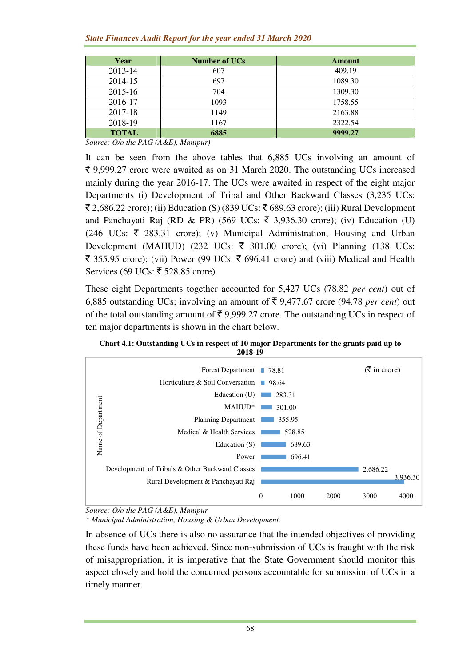| Year         | <b>Number of UCs</b> | Amount  |
|--------------|----------------------|---------|
| 2013-14      | 607                  | 409.19  |
| 2014-15      | 697                  | 1089.30 |
| 2015-16      | 704                  | 1309.30 |
| 2016-17      | 1093                 | 1758.55 |
| 2017-18      | 1149                 | 2163.88 |
| 2018-19      | 1167                 | 2322.54 |
| <b>TOTAL</b> | 6885                 | 9999.27 |

*Source: O/o the PAG (A&E), Manipur)* 

It can be seen from the above tables that 6,885 UCs involving an amount of  $\bar{\xi}$  9,999.27 crore were awaited as on 31 March 2020. The outstanding UCs increased mainly during the year 2016-17. The UCs were awaited in respect of the eight major Departments (i) Development of Tribal and Other Backward Classes (3,235 UCs:  $\bar{\mathcal{F}}$  2,686.22 crore); (ii) Education (S) (839 UCs:  $\bar{\mathcal{F}}$  689.63 crore); (iii) Rural Development and Panchayati Raj (RD & PR) (569 UCs:  $\bar{\tau}$  3,936.30 crore); (iv) Education (U) (246 UCs:  $\bar{\tau}$  283.31 crore); (v) Municipal Administration, Housing and Urban Development (MAHUD) (232 UCs:  $\bar{\tau}$  301.00 crore); (vi) Planning (138 UCs: ₹ 355.95 crore); (vii) Power (99 UCs: ₹ 696.41 crore) and (viii) Medical and Health Services (69 UCs: ₹ 528.85 crore).

These eight Departments together accounted for 5,427 UCs (78.82 *per cent*) out of 6,885 outstanding UCs; involving an amount of  $\bar{\tau}$  9,477.67 crore (94.78 *per cent*) out of the total outstanding amount of  $\bar{\tau}$  9,999.27 crore. The outstanding UCs in respect of ten major departments is shown in the chart below.



**Chart 4.1: Outstanding UCs in respect of 10 major Departments for the grants paid up to 2018-19** 

*Source: O/o the PAG (A&E), Manipur*

*\* Municipal Administration, Housing & Urban Development.* 

In absence of UCs there is also no assurance that the intended objectives of providing these funds have been achieved. Since non-submission of UCs is fraught with the risk of misappropriation, it is imperative that the State Government should monitor this aspect closely and hold the concerned persons accountable for submission of UCs in a timely manner.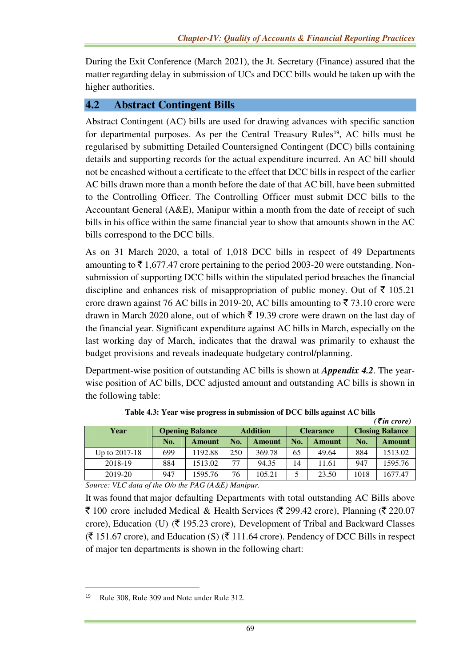During the Exit Conference (March 2021), the Jt. Secretary (Finance) assured that the matter regarding delay in submission of UCs and DCC bills would be taken up with the higher authorities.

#### **4.2 Abstract Contingent Bills**

Abstract Contingent (AC) bills are used for drawing advances with specific sanction for departmental purposes. As per the Central Treasury Rules<sup>19</sup>, AC bills must be regularised by submitting Detailed Countersigned Contingent (DCC) bills containing details and supporting records for the actual expenditure incurred. An AC bill should not be encashed without a certificate to the effect that DCC bills in respect of the earlier AC bills drawn more than a month before the date of that AC bill, have been submitted to the Controlling Officer. The Controlling Officer must submit DCC bills to the Accountant General (A&E), Manipur within a month from the date of receipt of such bills in his office within the same financial year to show that amounts shown in the AC bills correspond to the DCC bills.

As on 31 March 2020, a total of 1,018 DCC bills in respect of 49 Departments amounting to  $\bar{\tau}$  1,677.47 crore pertaining to the period 2003-20 were outstanding. Nonsubmission of supporting DCC bills within the stipulated period breaches the financial discipline and enhances risk of misappropriation of public money. Out of  $\bar{\tau}$  105.21 crore drawn against 76 AC bills in 2019-20, AC bills amounting to  $\bar{\tau}$  73.10 crore were drawn in March 2020 alone, out of which  $\bar{\tau}$  19.39 crore were drawn on the last day of the financial year. Significant expenditure against AC bills in March, especially on the last working day of March, indicates that the drawal was primarily to exhaust the budget provisions and reveals inadequate budgetary control/planning.

Department-wise position of outstanding AC bills is shown at *Appendix 4.2*. The yearwise position of AC bills, DCC adjusted amount and outstanding AC bills is shown in the following table:

| .             |                                    |                 |                 |        |                  |        |                        |         |
|---------------|------------------------------------|-----------------|-----------------|--------|------------------|--------|------------------------|---------|
| Year          | <b>Opening Balance</b>             |                 | <b>Addition</b> |        | <b>Clearance</b> |        | <b>Closing Balance</b> |         |
|               | No.                                | Amount          | No.             | Amount | No.              | Amount | No.                    | Amount  |
| Up to 2017-18 | 699                                | 1192.88         | 250             | 369.78 | 65               | 49.64  | 884                    | 1513.02 |
| 2018-19       | 884                                | 1513.02         | 77              | 94.35  | 14               | 11.61  | 947                    | 1595.76 |
| 2019-20       | 947                                | 1595.76         | 76              | 105.21 |                  | 23.50  | 1018                   | 1677.47 |
| ----<br>-     | $\sim$ $\sim$ $\sim$ $\sim$ $\sim$ | _ . _ _ _ . _ . |                 |        |                  |        |                        |         |

**Table 4.3: Year wise progress in submission of DCC bills against AC bills**   $(\vec{F}$ *in crore*)

*Source: VLC data of the O/o the PAG (A&E) Manipur.* 

It was found that major defaulting Departments with total outstanding AC Bills above  $\bar{\tau}$  100 crore included Medical & Health Services ( $\bar{\tau}$  299.42 crore), Planning ( $\bar{\tau}$  220.07 crore), Education (U) ( $\bar{\xi}$  195.23 crore), Development of Tribal and Backward Classes  $(\bar{\mathcal{F}} 151.67$  crore), and Education (S)  $(\bar{\mathcal{F}} 111.64$  crore). Pendency of DCC Bills in respect of major ten departments is shown in the following chart:

l

<sup>19</sup> Rule 308, Rule 309 and Note under Rule 312.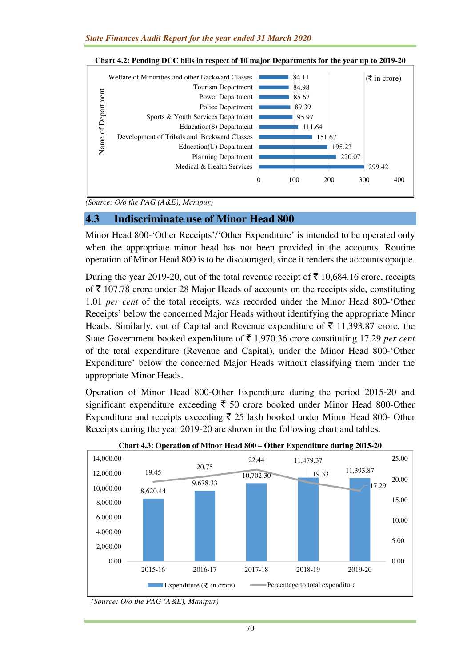

**Chart 4.2: Pending DCC bills in respect of 10 major Departments for the year up to 2019-20**

*(Source: O/o the PAG (A&E), Manipur)* 

#### **4.3 Indiscriminate use of Minor Head 800**

Minor Head 800-'Other Receipts'/'Other Expenditure' is intended to be operated only when the appropriate minor head has not been provided in the accounts. Routine operation of Minor Head 800 is to be discouraged, since it renders the accounts opaque.

During the year 2019-20, out of the total revenue receipt of  $\bar{\tau}$  10,684.16 crore, receipts of  $\bar{\tau}$  107.78 crore under 28 Major Heads of accounts on the receipts side, constituting 1.01 *per cent* of the total receipts, was recorded under the Minor Head 800-'Other Receipts' below the concerned Major Heads without identifying the appropriate Minor Heads. Similarly, out of Capital and Revenue expenditure of  $\bar{\tau}$  11,393.87 crore, the State Government booked expenditure of  $\bar{\tau}$  1,970.36 crore constituting 17.29 *per cent* of the total expenditure (Revenue and Capital), under the Minor Head 800-'Other Expenditure' below the concerned Major Heads without classifying them under the appropriate Minor Heads.

Operation of Minor Head 800-Other Expenditure during the period 2015-20 and significant expenditure exceeding  $\bar{\tau}$  50 crore booked under Minor Head 800-Other Expenditure and receipts exceeding  $\bar{\xi}$  25 lakh booked under Minor Head 800- Other Receipts during the year 2019-20 are shown in the following chart and tables.





*<sup>(</sup>Source: O/o the PAG (A&E), Manipur)*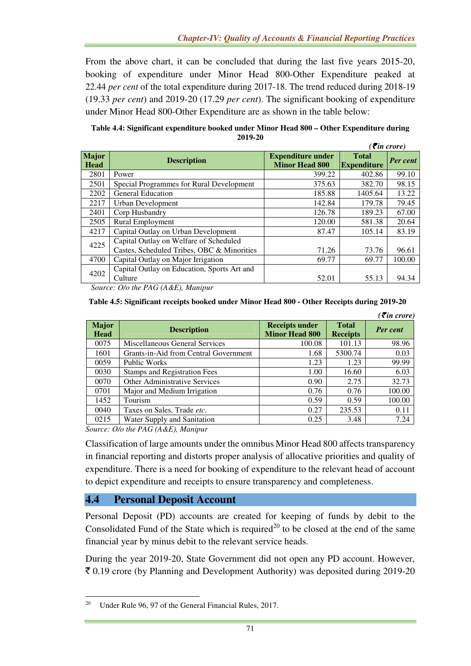From the above chart, it can be concluded that during the last five years 2015-20, booking of expenditure under Minor Head 800-Other Expenditure peaked at 22.44 *per cent* of the total expenditure during 2017-18. The trend reduced during 2018-19 (19.33 *per cent*) and 2019-20 (17.29 *per cent*). The significant booking of expenditure under Minor Head 800-Other Expenditure are as shown in the table below:

| Table 4.4: Significant expenditure booked under Minor Head 800 – Other Expenditure during |
|-------------------------------------------------------------------------------------------|
| 2019-20                                                                                   |
| $\mathcal{F}$ in anomal                                                                   |

|                      |                                                  |                                                   |                                    | <b>Theory</b>   |
|----------------------|--------------------------------------------------|---------------------------------------------------|------------------------------------|-----------------|
| <b>Major</b><br>Head | <b>Description</b>                               | <b>Expenditure under</b><br><b>Minor Head 800</b> | <b>Total</b><br><b>Expenditure</b> | <b>Per cent</b> |
| 2801                 | Power                                            | 399.22                                            | 402.86                             | 99.10           |
| 2501                 | Special Programmes for Rural Development         | 375.63                                            | 382.70                             | 98.15           |
| 2202                 | <b>General Education</b>                         | 185.88                                            | 1405.64                            | 13.22           |
| 2217                 | Urban Development                                | 142.84                                            | 179.78                             | 79.45           |
| 2401                 | Corp Husbandry                                   | 126.78                                            | 189.23                             | 67.00           |
| 2505                 | <b>Rural Employment</b>                          | 120.00                                            | 581.38                             | 20.64           |
| 4217                 | Capital Outlay on Urban Development              | 87.47                                             | 105.14                             | 83.19           |
| 4225                 | Capital Outlay on Welfare of Scheduled           |                                                   |                                    |                 |
|                      | Castes, Scheduled Tribes, OBC & Minorities       | 71.26                                             | 73.76                              | 96.61           |
| 4700                 | Capital Outlay on Major Irrigation               | 69.77                                             | 69.77                              | 100.00          |
| 4202                 | Capital Outlay on Education, Sports Art and      |                                                   |                                    |                 |
|                      | Culture                                          | 52.01                                             | 55.13                              | 94.34           |
|                      | $\sim$ $\sim$ $\sim$ $\sim$ $\sim$ $\sim$ $\sim$ |                                                   |                                    |                 |

*Source: O/o the PAG (A&E), Manipur*

| Table 4.5: Significant receipts booked under Minor Head 800 - Other Receipts during 2019-20 |  |  |
|---------------------------------------------------------------------------------------------|--|--|
|---------------------------------------------------------------------------------------------|--|--|

|                             |                                       |                                                |                                 | $( \bar{\tau}$ in crore) |
|-----------------------------|---------------------------------------|------------------------------------------------|---------------------------------|--------------------------|
| <b>Major</b><br><b>Head</b> | <b>Description</b>                    | <b>Receipts under</b><br><b>Minor Head 800</b> | <b>Total</b><br><b>Receipts</b> | <b>Per cent</b>          |
| 0075                        | Miscellaneous General Services        | 100.08                                         | 101.13                          | 98.96                    |
| 1601                        | Grants-in-Aid from Central Government | 1.68                                           | 5300.74                         | 0.03                     |
| 0059                        | Public Works                          | 1.23                                           | 1.23                            | 99.99                    |
| 0030                        | <b>Stamps and Registration Fees</b>   | 1.00                                           | 16.60                           | 6.03                     |
| 0070                        | <b>Other Administrative Services</b>  | 0.90                                           | 2.75                            | 32.73                    |
| 0701                        | Major and Medium Irrigation           | 0.76                                           | 0.76                            | 100.00                   |
| 1452                        | Tourism                               | 0.59                                           | 0.59                            | 100.00                   |
| 0040                        | Taxes on Sales, Trade etc.            | 0.27                                           | 235.53                          | 0.11                     |
| 0215                        | Water Supply and Sanitation           | 0.25                                           | 3.48                            | 7.24                     |

*Source: O/o the PAG (A&E), Manipur* 

l

Classification of large amounts under the omnibus Minor Head 800 affects transparency in financial reporting and distorts proper analysis of allocative priorities and quality of expenditure. There is a need for booking of expenditure to the relevant head of account to depict expenditure and receipts to ensure transparency and completeness.

#### **4.4 Personal Deposit Account**

Personal Deposit (PD) accounts are created for keeping of funds by debit to the Consolidated Fund of the State which is required<sup>20</sup> to be closed at the end of the same financial year by minus debit to the relevant service heads.

During the year 2019-20, State Government did not open any PD account. However,  $\bar{\tau}$  0.19 crore (by Planning and Development Authority) was deposited during 2019-20

<sup>20</sup> Under Rule 96, 97 of the General Financial Rules, 2017.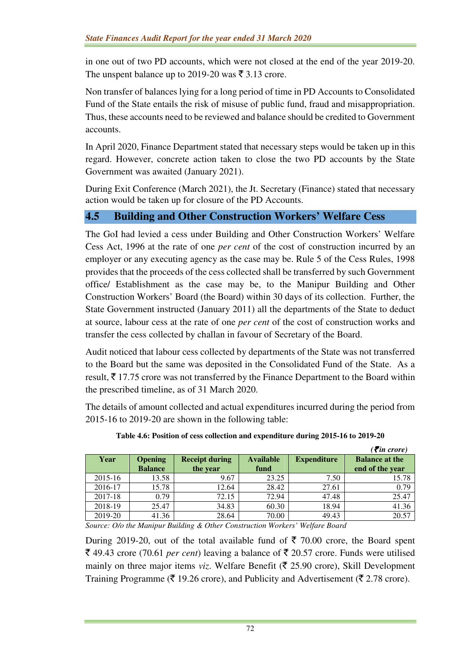in one out of two PD accounts, which were not closed at the end of the year 2019-20. The unspent balance up to 2019-20 was  $\bar{\tau}$  3.13 crore.

Non transfer of balances lying for a long period of time in PD Accounts to Consolidated Fund of the State entails the risk of misuse of public fund, fraud and misappropriation. Thus, these accounts need to be reviewed and balance should be credited to Government accounts.

In April 2020, Finance Department stated that necessary steps would be taken up in this regard. However, concrete action taken to close the two PD accounts by the State Government was awaited (January 2021).

During Exit Conference (March 2021), the Jt. Secretary (Finance) stated that necessary action would be taken up for closure of the PD Accounts.

## **4.5 Building and Other Construction Workers' Welfare Cess**

The GoI had levied a cess under Building and Other Construction Workers' Welfare Cess Act, 1996 at the rate of one *per cent* of the cost of construction incurred by an employer or any executing agency as the case may be. Rule 5 of the Cess Rules, 1998 provides that the proceeds of the cess collected shall be transferred by such Government office/ Establishment as the case may be, to the Manipur Building and Other Construction Workers' Board (the Board) within 30 days of its collection. Further, the State Government instructed (January 2011) all the departments of the State to deduct at source, labour cess at the rate of one *per cent* of the cost of construction works and transfer the cess collected by challan in favour of Secretary of the Board.

Audit noticed that labour cess collected by departments of the State was not transferred to the Board but the same was deposited in the Consolidated Fund of the State. As a result,  $\bar{\xi}$  17.75 crore was not transferred by the Finance Department to the Board within the prescribed timeline, as of 31 March 2020.

The details of amount collected and actual expenditures incurred during the period from 2015-16 to 2019-20 are shown in the following table:

|         |                |                       |                  |                    | $\overline{\mathcal{E}}$ in crore) |
|---------|----------------|-----------------------|------------------|--------------------|------------------------------------|
| Year    | <b>Opening</b> | <b>Receipt during</b> | <b>Available</b> | <b>Expenditure</b> | <b>Balance at the</b>              |
|         | <b>Balance</b> | the year              | fund             |                    | end of the year                    |
| 2015-16 | 13.58          | 9.67                  | 23.25            | 7.50               | 15.78                              |
| 2016-17 | 15.78          | 12.64                 | 28.42            | 27.61              | 0.79                               |
| 2017-18 | 0.79           | 72.15                 | 72.94            | 47.48              | 25.47                              |
| 2018-19 | 25.47          | 34.83                 | 60.30            | 18.94              | 41.36                              |
| 2019-20 | 41.36          | 28.64                 | 70.00            | 49.43              | 20.57                              |

**Table 4.6: Position of cess collection and expenditure during 2015-16 to 2019-20** 

*Source: O/o the Manipur Building & Other Construction Workers' Welfare Board* 

During 2019-20, out of the total available fund of  $\bar{\tau}$  70.00 crore, the Board spent  $\bar{\xi}$  49.43 crore (70.61 *per cent*) leaving a balance of  $\bar{\xi}$  20.57 crore. Funds were utilised mainly on three major items *viz*. Welfare Benefit ( $\bar{\tau}$  25.90 crore), Skill Development Training Programme ( $\bar{\mathfrak{F}}$  19.26 crore), and Publicity and Advertisement ( $\bar{\mathfrak{F}}$  2.78 crore).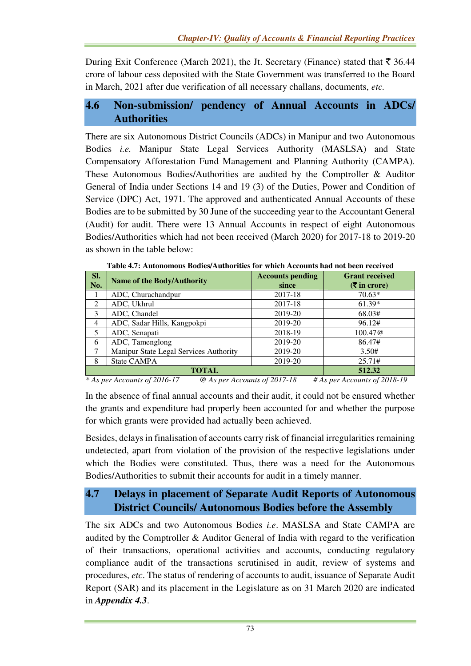During Exit Conference (March 2021), the Jt. Secretary (Finance) stated that  $\bar{\mathfrak{Z}}$  36.44 crore of labour cess deposited with the State Government was transferred to the Board in March, 2021 after due verification of all necessary challans, documents, *etc.*

## **4.6 Non-submission/ pendency of Annual Accounts in ADCs/ Authorities**

There are six Autonomous District Councils (ADCs) in Manipur and two Autonomous Bodies *i.e.* Manipur State Legal Services Authority (MASLSA) and State Compensatory Afforestation Fund Management and Planning Authority (CAMPA). These Autonomous Bodies/Authorities are audited by the Comptroller & Auditor General of India under Sections 14 and 19 (3) of the Duties, Power and Condition of Service (DPC) Act, 1971. The approved and authenticated Annual Accounts of these Bodies are to be submitted by 30 June of the succeeding year to the Accountant General (Audit) for audit. There were 13 Annual Accounts in respect of eight Autonomous Bodies/Authorities which had not been received (March 2020) for 2017-18 to 2019-20 as shown in the table below:

| SI.<br>No.     | <b>Name of the Body/Authority</b>      | <b>Accounts pending</b><br>since | <b>Grant received</b><br>$(5 \text{ in } \text{core})$ |  |  |
|----------------|----------------------------------------|----------------------------------|--------------------------------------------------------|--|--|
|                | ADC, Churachandpur                     | 2017-18                          | $70.63*$                                               |  |  |
| 2              | ADC, Ukhrul                            | 2017-18                          | $61.39*$                                               |  |  |
| 3              | ADC, Chandel                           | 2019-20                          | 68.03#                                                 |  |  |
| $\overline{4}$ | ADC, Sadar Hills, Kangpokpi            | 2019-20                          | 96.12#                                                 |  |  |
| 5              | ADC, Senapati                          | 2018-19                          | 100.47@                                                |  |  |
| 6              | ADC, Tamenglong                        | 2019-20                          | 86.47#                                                 |  |  |
| 7              | Manipur State Legal Services Authority | 2019-20                          | 3.50#                                                  |  |  |
| 8              | <b>State CAMPA</b>                     | 2019-20                          | 25.71#                                                 |  |  |
|                | 512.32<br><b>TOTAL</b>                 |                                  |                                                        |  |  |

**Table 4.7: Autonomous Bodies/Authorities for which Accounts had not been received** 

*\* As per Accounts of 2016-17 @ As per Accounts of 2017-18 # As per Accounts of 2018-19* 

In the absence of final annual accounts and their audit, it could not be ensured whether the grants and expenditure had properly been accounted for and whether the purpose for which grants were provided had actually been achieved.

Besides, delays in finalisation of accounts carry risk of financial irregularities remaining undetected, apart from violation of the provision of the respective legislations under which the Bodies were constituted. Thus, there was a need for the Autonomous Bodies/Authorities to submit their accounts for audit in a timely manner.

# **4.7 Delays in placement of Separate Audit Reports of Autonomous District Councils/ Autonomous Bodies before the Assembly**

The six ADCs and two Autonomous Bodies *i.e*. MASLSA and State CAMPA are audited by the Comptroller & Auditor General of India with regard to the verification of their transactions, operational activities and accounts, conducting regulatory compliance audit of the transactions scrutinised in audit, review of systems and procedures, *etc*. The status of rendering of accounts to audit, issuance of Separate Audit Report (SAR) and its placement in the Legislature as on 31 March 2020 are indicated in *Appendix 4.3*.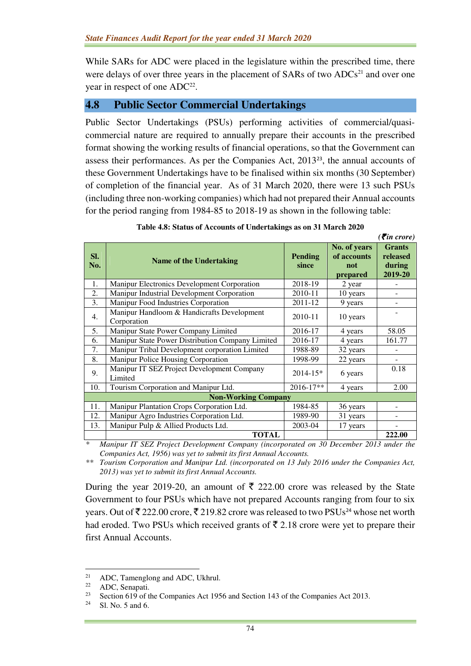While SARs for ADC were placed in the legislature within the prescribed time, there were delays of over three years in the placement of  $SARs$  of two  $ADC<sup>21</sup>$  and over one year in respect of one  $ADC^{22}$ .

#### **4.8 Public Sector Commercial Undertakings**

Public Sector Undertakings (PSUs) performing activities of commercial/quasicommercial nature are required to annually prepare their accounts in the prescribed format showing the working results of financial operations, so that the Government can assess their performances. As per the Companies Act, 2013<sup>23</sup>, the annual accounts of these Government Undertakings have to be finalised within six months (30 September) of completion of the financial year. As of 31 March 2020, there were 13 such PSUs (including three non-working companies) which had not prepared their Annual accounts for the period ranging from 1984-85 to 2018-19 as shown in the following table:

|            |                                                                                                                                                                              |                         |                                                | $( \bar{\mathbf{z}}$ in crore)                 |
|------------|------------------------------------------------------------------------------------------------------------------------------------------------------------------------------|-------------------------|------------------------------------------------|------------------------------------------------|
| SI.<br>No. | <b>Name of the Undertaking</b>                                                                                                                                               | <b>Pending</b><br>since | No. of years<br>of accounts<br>not<br>prepared | <b>Grants</b><br>released<br>during<br>2019-20 |
| 1.         | Manipur Electronics Development Corporation                                                                                                                                  | 2018-19                 | 2 year                                         |                                                |
| 2.         | Manipur Industrial Development Corporation                                                                                                                                   | 2010-11                 | 10 years                                       |                                                |
| 3.         | Manipur Food Industries Corporation                                                                                                                                          | 2011-12                 | 9 years                                        |                                                |
| 4.         | Manipur Handloom & Handicrafts Development<br>Corporation                                                                                                                    | 2010-11                 | 10 years                                       |                                                |
| 5.         | Manipur State Power Company Limited                                                                                                                                          | 2016-17                 | 4 years                                        | 58.05                                          |
| 6.         | Manipur State Power Distribution Company Limited                                                                                                                             | 2016-17                 | 4 years                                        | 161.77                                         |
| 7.         | Manipur Tribal Development corporation Limited                                                                                                                               | 1988-89                 | 32 years                                       |                                                |
| 8.         | Manipur Police Housing Corporation                                                                                                                                           | 1998-99                 | 22 years                                       | ٠                                              |
| 9.         | Manipur IT SEZ Project Development Company<br>Limited                                                                                                                        | $2014 - 15*$            | 6 years                                        | 0.18                                           |
| 10.        | Tourism Corporation and Manipur Ltd.                                                                                                                                         | 2016-17**               | 4 years                                        | 2.00                                           |
|            | <b>Non-Working Company</b>                                                                                                                                                   |                         |                                                |                                                |
| 11.        | Manipur Plantation Crops Corporation Ltd.                                                                                                                                    | 1984-85                 | 36 years                                       |                                                |
| 12.        | Manipur Agro Industries Corporation Ltd.                                                                                                                                     | 1989-90                 | 31 years                                       |                                                |
| 13.        | Manipur Pulp & Allied Products Ltd.                                                                                                                                          | 2003-04                 | 17 years                                       |                                                |
|            | <b>TOTAL</b>                                                                                                                                                                 |                         |                                                | 222.00                                         |
|            | $\mathbf{r}$ $\mathbf{r}$ $\mathbf{r}$ $\mathbf{r}$ $\mathbf{r}$ $\mathbf{r}$ $\mathbf{r}$ $\mathbf{r}$ $\mathbf{r}$ $\mathbf{r}$ $\mathbf{r}$<br>$\mathbf{r}$<br>$\sqrt{ }$ | $\cdot$ $\cdot$ $\cdot$ | 20E<br>2012<br>$\mathbf{r}$                    |                                                |

*\* Manipur IT SEZ Project Development Company (incorporated on 30 December 2013 under the Companies Act, 1956) was yet to submit its first Annual Accounts.* 

*\*\* Tourism Corporation and Manipur Ltd. (incorporated on 13 July 2016 under the Companies Act, 2013) was yet to submit its first Annual Accounts.* 

During the year 2019-20, an amount of  $\bar{\tau}$  222.00 crore was released by the State Government to four PSUs which have not prepared Accounts ranging from four to six years. Out of  $\bar{\xi}$  222.00 crore,  $\bar{\xi}$  219.82 crore was released to two PSUs<sup>24</sup> whose net worth had eroded. Two PSUs which received grants of  $\bar{\tau}$  2.18 crore were yet to prepare their first Annual Accounts.

 $\overline{a}$ 

<sup>&</sup>lt;sup>21</sup> ADC, Tamenglong and ADC, Ukhrul.<br><sup>22</sup> ADC Sepanati

 $^{22}$  ADC, Senapati.<br><sup>23</sup> Section 610 of t

Section 619 of the Companies Act 1956 and Section 143 of the Companies Act 2013.

Sl. No. 5 and 6.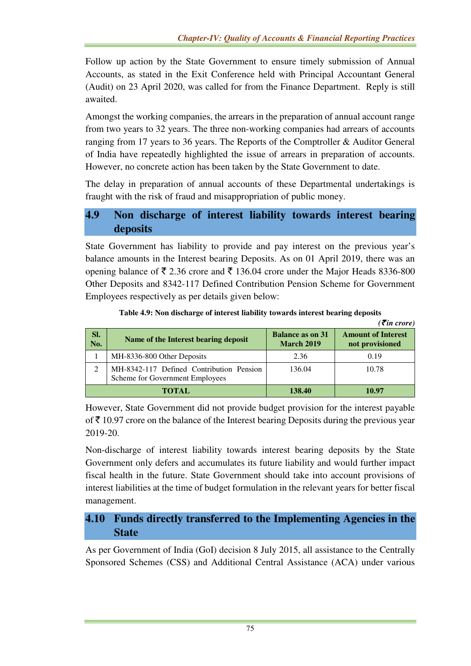Follow up action by the State Government to ensure timely submission of Annual Accounts, as stated in the Exit Conference held with Principal Accountant General (Audit) on 23 April 2020, was called for from the Finance Department. Reply is still awaited.

Amongst the working companies, the arrears in the preparation of annual account range from two years to 32 years. The three non-working companies had arrears of accounts ranging from 17 years to 36 years. The Reports of the Comptroller & Auditor General of India have repeatedly highlighted the issue of arrears in preparation of accounts. However, no concrete action has been taken by the State Government to date.

The delay in preparation of annual accounts of these Departmental undertakings is fraught with the risk of fraud and misappropriation of public money.

# **4.9 Non discharge of interest liability towards interest bearing deposits**

State Government has liability to provide and pay interest on the previous year's balance amounts in the Interest bearing Deposits. As on 01 April 2019, there was an opening balance of  $\bar{\tau}$  2.36 crore and  $\bar{\tau}$  136.04 crore under the Major Heads 8336-800 Other Deposits and 8342-117 Defined Contribution Pension Scheme for Government Employees respectively as per details given below:

|            |                                                                             |                                              | $( \bar{\tau}$ in crore)                     |
|------------|-----------------------------------------------------------------------------|----------------------------------------------|----------------------------------------------|
| Sl.<br>No. | Name of the Interest bearing deposit                                        | <b>Balance as on 31</b><br><b>March 2019</b> | <b>Amount of Interest</b><br>not provisioned |
|            | MH-8336-800 Other Deposits                                                  | 2.36                                         | 0.19                                         |
| 2          | MH-8342-117 Defined Contribution Pension<br>Scheme for Government Employees | 136.04                                       | 10.78                                        |
|            | <b>TOTAL</b>                                                                | 138.40                                       | 10.97                                        |

**Table 4.9: Non discharge of interest liability towards interest bearing deposits** 

However, State Government did not provide budget provision for the interest payable of  $\bar{\tau}$  10.97 crore on the balance of the Interest bearing Deposits during the previous year 2019-20.

Non-discharge of interest liability towards interest bearing deposits by the State Government only defers and accumulates its future liability and would further impact fiscal health in the future. State Government should take into account provisions of interest liabilities at the time of budget formulation in the relevant years for better fiscal management.

# **4.10 Funds directly transferred to the Implementing Agencies in the State**

As per Government of India (GoI) decision 8 July 2015, all assistance to the Centrally Sponsored Schemes (CSS) and Additional Central Assistance (ACA) under various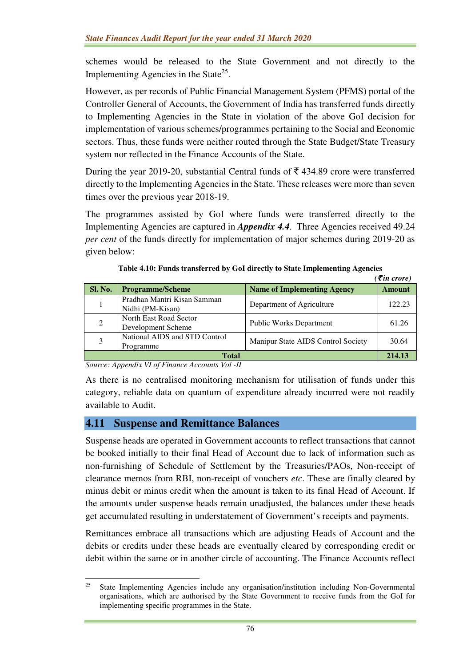schemes would be released to the State Government and not directly to the Implementing Agencies in the State<sup>25</sup>.

However, as per records of Public Financial Management System (PFMS) portal of the Controller General of Accounts, the Government of India has transferred funds directly to Implementing Agencies in the State in violation of the above GoI decision for implementation of various schemes/programmes pertaining to the Social and Economic sectors. Thus, these funds were neither routed through the State Budget/State Treasury system nor reflected in the Finance Accounts of the State.

During the year 2019-20, substantial Central funds of  $\bar{\tau}$  434.89 crore were transferred directly to the Implementing Agencies in the State. These releases were more than seven times over the previous year 2018-19.

The programmes assisted by GoI where funds were transferred directly to the Implementing Agencies are captured in *Appendix 4.4*. Three Agencies received 49.24 *per cent* of the funds directly for implementation of major schemes during 2019-20 as given below:

|                |                                                 |                                    | $\epsilon$ ( $\bar{\epsilon}$ in crore) |  |
|----------------|-------------------------------------------------|------------------------------------|-----------------------------------------|--|
| <b>Sl. No.</b> | <b>Programme/Scheme</b>                         | <b>Name of Implementing Agency</b> | <b>Amount</b>                           |  |
|                | Pradhan Mantri Kisan Samman<br>Nidhi (PM-Kisan) | Department of Agriculture          | 122.23                                  |  |
| 2              | North East Road Sector<br>Development Scheme    | <b>Public Works Department</b>     | 61.26                                   |  |
|                | National AIDS and STD Control<br>Programme      | Manipur State AIDS Control Society | 30.64                                   |  |
| <b>Total</b>   |                                                 |                                    |                                         |  |

**Table 4.10: Funds transferred by GoI directly to State Implementing Agencies** 

*Source: Appendix VI of Finance Accounts Vol -II* 

l

As there is no centralised monitoring mechanism for utilisation of funds under this category, reliable data on quantum of expenditure already incurred were not readily available to Audit.

## **4.11 Suspense and Remittance Balances**

Suspense heads are operated in Government accounts to reflect transactions that cannot be booked initially to their final Head of Account due to lack of information such as non-furnishing of Schedule of Settlement by the Treasuries/PAOs, Non-receipt of clearance memos from RBI, non-receipt of vouchers *etc*. These are finally cleared by minus debit or minus credit when the amount is taken to its final Head of Account. If the amounts under suspense heads remain unadjusted, the balances under these heads get accumulated resulting in understatement of Government's receipts and payments.

Remittances embrace all transactions which are adjusting Heads of Account and the debits or credits under these heads are eventually cleared by corresponding credit or debit within the same or in another circle of accounting. The Finance Accounts reflect

<sup>&</sup>lt;sup>25</sup> State Implementing Agencies include any organisation/institution including Non-Governmental organisations, which are authorised by the State Government to receive funds from the GoI for implementing specific programmes in the State.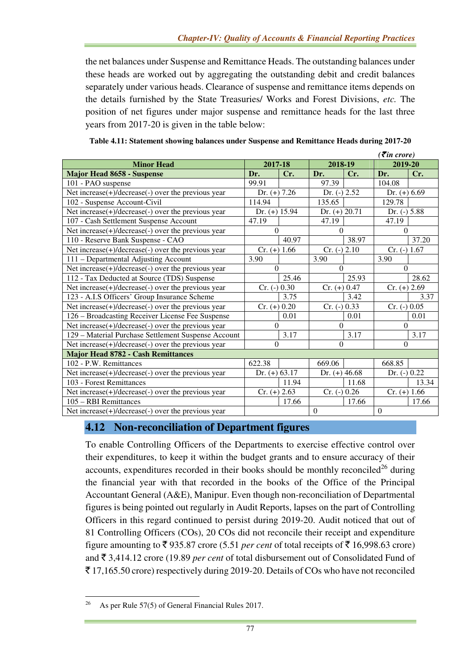the net balances under Suspense and Remittance Heads. The outstanding balances under these heads are worked out by aggregating the outstanding debit and credit balances separately under various heads. Clearance of suspense and remittance items depends on the details furnished by the State Treasuries/ Works and Forest Divisions, *etc.* The position of net figures under major suspense and remittance heads for the last three years from 2017-20 is given in the table below:

| $\overline{\mathcal{E}}$ in crore)                  |                  |       |                 |        |                |       |
|-----------------------------------------------------|------------------|-------|-----------------|--------|----------------|-------|
| <b>Minor Head</b>                                   | 2017-18          |       | 2018-19         |        | 2019-20        |       |
| <b>Major Head 8658 - Suspense</b>                   | Dr.              | Cr.   | Dr.             | Cr.    | Dr.            | Cr.   |
| 101 - PAO suspense                                  | 99.91            |       | 97.39           |        | 104.08         |       |
| Net increase(+)/decrease(-) over the previous year  | Dr. $(+)$ 7.26   |       | Dr. $(-)$ 2.52  |        | Dr. $(+) 6.69$ |       |
| 102 - Suspense Account-Civil                        | 114.94<br>135.65 |       |                 | 129.78 |                |       |
| Net increase(+)/decrease(-) over the previous year  | Dr. $(+)$ 15.94  |       | Dr. $(+) 20.71$ |        | Dr. $(-)$ 5.88 |       |
| 107 - Cash Settlement Suspense Account              | 47.19            |       | 47.19           |        | 47.19          |       |
| Net increase(+)/decrease(-) over the previous year  | $\Omega$         |       | $\Omega$        |        | $\theta$       |       |
| 110 - Reserve Bank Suspense - CAO                   |                  | 40.97 |                 | 38.97  |                | 37.20 |
| Net increase(+)/decrease(-) over the previous year  | $Cr. (+) 1.66$   |       | $Cr. (-) 2.10$  |        | $Cr. (-) 1.67$ |       |
| 111 - Departmental Adjusting Account                | 3.90             |       | 3.90            |        | 3.90           |       |
| Net increase(+)/decrease(-) over the previous year  | $\Omega$         |       | $\theta$        |        | $\Omega$       |       |
| 112 - Tax Deducted at Source (TDS) Suspense         |                  | 25.46 |                 | 25.93  |                | 28.62 |
| Net increase(+)/decrease(-) over the previous year  | $Cr. (-) 0.30$   |       | $Cr. (+) 0.47$  |        | $Cr. (+) 2.69$ |       |
| 123 - A.I.S Officers' Group Insurance Scheme        |                  | 3.75  |                 | 3.42   |                | 3.37  |
| Net increase(+)/decrease(-) over the previous year  | $Cr. (+) 0.20$   |       | $Cr. (-) 0.33$  |        | $Cr. (-) 0.05$ |       |
| 126 - Broadcasting Receiver License Fee Suspense    |                  | 0.01  |                 | 0.01   |                | 0.01  |
| Net increase(+)/decrease(-) over the previous year  | $\Omega$         |       | $\Omega$        |        | $\Omega$       |       |
| 129 - Material Purchase Settlement Suspense Account |                  | 3.17  |                 | 3.17   |                | 3.17  |
| Net increase(+)/decrease(-) over the previous year  | $\Omega$         |       | $\Omega$        |        | $\Omega$       |       |
| <b>Major Head 8782 - Cash Remittances</b>           |                  |       |                 |        |                |       |
| 102 - P.W. Remittances                              | 622.38           |       | 669.06          |        | 668.85         |       |
| Net increase(+)/decrease(-) over the previous year  | Dr. $(+) 63.17$  |       | Dr. $(+)$ 46.68 |        | Dr. (-) 0.22   |       |
| 103 - Forest Remittances                            |                  | 11.94 |                 | 11.68  |                | 13.34 |
| Net increase(+)/decrease(-) over the previous year  | $Cr. (+) 2.63$   |       | $Cr. (-) 0.26$  |        | $Cr. (+) 1.66$ |       |
| 105 – RBI Remittances                               |                  | 17.66 |                 | 17.66  |                | 17.66 |
| Net increase(+)/decrease(-) over the previous year  |                  |       | $\overline{0}$  |        | $\mathbf{0}$   |       |

| Table 4.11: Statement showing balances under Suspense and Remittance Heads during 2017-20 |  |  |
|-------------------------------------------------------------------------------------------|--|--|
|-------------------------------------------------------------------------------------------|--|--|

# **4.12 Non-reconciliation of Department figures**

To enable Controlling Officers of the Departments to exercise effective control over their expenditures, to keep it within the budget grants and to ensure accuracy of their accounts, expenditures recorded in their books should be monthly reconciled<sup>26</sup> during the financial year with that recorded in the books of the Office of the Principal Accountant General (A&E), Manipur. Even though non-reconciliation of Departmental figures is being pointed out regularly in Audit Reports, lapses on the part of Controlling Officers in this regard continued to persist during 2019-20. Audit noticed that out of 81 Controlling Officers (COs), 20 COs did not reconcile their receipt and expenditure figure amounting to  $\bar{\tau}$  935.87 crore (5.51 *per cent* of total receipts of  $\bar{\tau}$  16,998.63 crore) and ` 3,414.12 crore (19.89 *per cent* of total disbursement out of Consolidated Fund of  $\bar{\mathcal{F}}$  17,165.50 crore) respectively during 2019-20. Details of COs who have not reconciled

l

<sup>26</sup> As per Rule 57(5) of General Financial Rules 2017.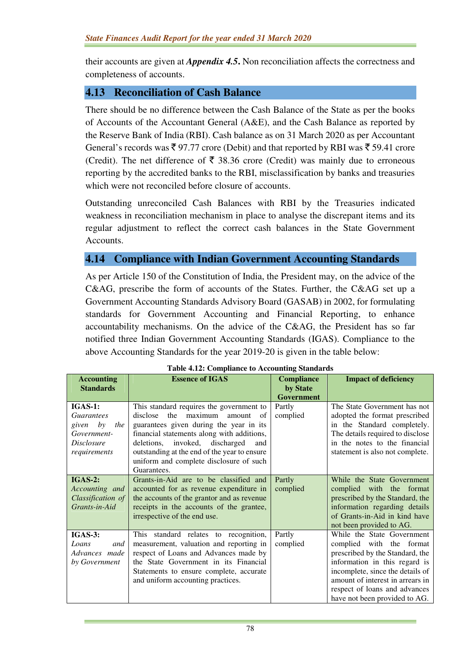their accounts are given at *Appendix 4.5***.** Non reconciliation affects the correctness and completeness of accounts.

# **4.13 Reconciliation of Cash Balance**

There should be no difference between the Cash Balance of the State as per the books of Accounts of the Accountant General (A&E), and the Cash Balance as reported by the Reserve Bank of India (RBI). Cash balance as on 31 March 2020 as per Accountant General's records was  $\bar{\xi}$  97.77 crore (Debit) and that reported by RBI was  $\bar{\xi}$  59.41 crore (Credit). The net difference of  $\bar{\tau}$  38.36 crore (Credit) was mainly due to erroneous reporting by the accredited banks to the RBI, misclassification by banks and treasuries which were not reconciled before closure of accounts.

Outstanding unreconciled Cash Balances with RBI by the Treasuries indicated weakness in reconciliation mechanism in place to analyse the discrepant items and its regular adjustment to reflect the correct cash balances in the State Government Accounts.

#### **4.14 Compliance with Indian Government Accounting Standards**

As per Article 150 of the Constitution of India, the President may, on the advice of the C&AG, prescribe the form of accounts of the States. Further, the C&AG set up a Government Accounting Standards Advisory Board (GASAB) in 2002, for formulating standards for Government Accounting and Financial Reporting, to enhance accountability mechanisms. On the advice of the C&AG, the President has so far notified three Indian Government Accounting Standards (IGAS). Compliance to the above Accounting Standards for the year 2019-20 is given in the table below:

| rabit 7.12. Comphance to Accounting Bianuarus |                                              |                   |                                  |  |  |  |
|-----------------------------------------------|----------------------------------------------|-------------------|----------------------------------|--|--|--|
| <b>Accounting</b>                             | <b>Essence of IGAS</b>                       | <b>Compliance</b> | <b>Impact of deficiency</b>      |  |  |  |
| <b>Standards</b>                              |                                              | by State          |                                  |  |  |  |
|                                               |                                              | <b>Government</b> |                                  |  |  |  |
| $IGAS-1$ :                                    | This standard requires the government to     | Partly            | The State Government has not     |  |  |  |
| <i>Guarantees</i>                             | the<br>maximum<br>disclose<br>amount<br>- of | complied          | adopted the format prescribed    |  |  |  |
| given by<br>the                               | guarantees given during the year in its      |                   | in the Standard completely.      |  |  |  |
| Government-                                   | financial statements along with additions,   |                   | The details required to disclose |  |  |  |
| <i>Disclosure</i>                             | deletions, invoked, discharged<br>and        |                   | in the notes to the financial    |  |  |  |
| requirements                                  | outstanding at the end of the year to ensure |                   | statement is also not complete.  |  |  |  |
|                                               | uniform and complete disclosure of such      |                   |                                  |  |  |  |
|                                               | Guarantees.                                  |                   |                                  |  |  |  |
| <b>IGAS-2:</b>                                | Grants-in-Aid are to be classified and       | Partly            | While the State Government       |  |  |  |
| Accounting and                                | accounted for as revenue expenditure in      | complied          | complied with the format         |  |  |  |
| Classification of                             | the accounts of the grantor and as revenue   |                   | prescribed by the Standard, the  |  |  |  |
| Grants-in-Aid                                 | receipts in the accounts of the grantee,     |                   | information regarding details    |  |  |  |
|                                               | irrespective of the end use.                 |                   | of Grants-in-Aid in kind have    |  |  |  |
|                                               |                                              |                   | not been provided to AG.         |  |  |  |
| IGAS-3:                                       | This standard relates to recognition,        | Partly            | While the State Government       |  |  |  |
| Loans<br>and                                  | measurement, valuation and reporting in      | complied          | complied with the format         |  |  |  |
| Advances made                                 | respect of Loans and Advances made by        |                   | prescribed by the Standard, the  |  |  |  |
| by Government                                 | the State Government in its Financial        |                   | information in this regard is    |  |  |  |
|                                               | Statements to ensure complete, accurate      |                   | incomplete, since the details of |  |  |  |
|                                               | and uniform accounting practices.            |                   | amount of interest in arrears in |  |  |  |
|                                               |                                              |                   | respect of loans and advances    |  |  |  |
|                                               |                                              |                   | have not been provided to AG.    |  |  |  |

|  | <b>Table 4.12: Compliance to Accounting Standards</b> |  |
|--|-------------------------------------------------------|--|
|  |                                                       |  |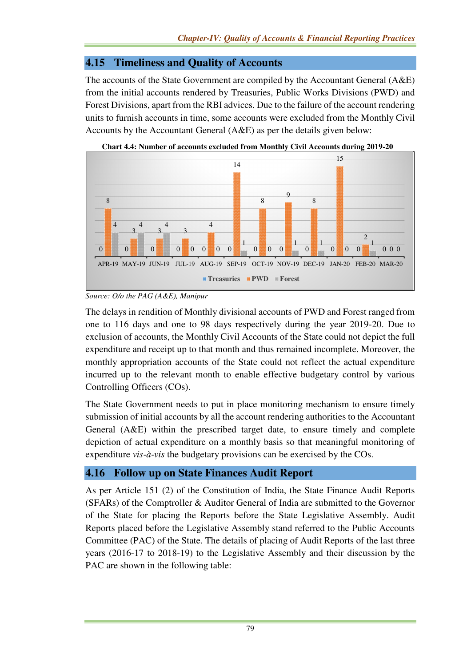# **4.15 Timeliness and Quality of Accounts**

The accounts of the State Government are compiled by the Accountant General (A&E) from the initial accounts rendered by Treasuries, Public Works Divisions (PWD) and Forest Divisions, apart from the RBI advices. Due to the failure of the account rendering units to furnish accounts in time, some accounts were excluded from the Monthly Civil Accounts by the Accountant General (A&E) as per the details given below:



**Chart 4.4: Number of accounts excluded from Monthly Civil Accounts during 2019-20** 

The delays in rendition of Monthly divisional accounts of PWD and Forest ranged from one to 116 days and one to 98 days respectively during the year 2019-20. Due to exclusion of accounts, the Monthly Civil Accounts of the State could not depict the full expenditure and receipt up to that month and thus remained incomplete. Moreover, the monthly appropriation accounts of the State could not reflect the actual expenditure incurred up to the relevant month to enable effective budgetary control by various Controlling Officers (COs).

The State Government needs to put in place monitoring mechanism to ensure timely submission of initial accounts by all the account rendering authorities to the Accountant General (A&E) within the prescribed target date, to ensure timely and complete depiction of actual expenditure on a monthly basis so that meaningful monitoring of expenditure *vis-à-vis* the budgetary provisions can be exercised by the COs.

# **4.16 Follow up on State Finances Audit Report**

As per Article 151 (2) of the Constitution of India, the State Finance Audit Reports (SFARs) of the Comptroller & Auditor General of India are submitted to the Governor of the State for placing the Reports before the State Legislative Assembly. Audit Reports placed before the Legislative Assembly stand referred to the Public Accounts Committee (PAC) of the State. The details of placing of Audit Reports of the last three years (2016-17 to 2018-19) to the Legislative Assembly and their discussion by the PAC are shown in the following table:

*Source: O/o the PAG (A&E), Manipur*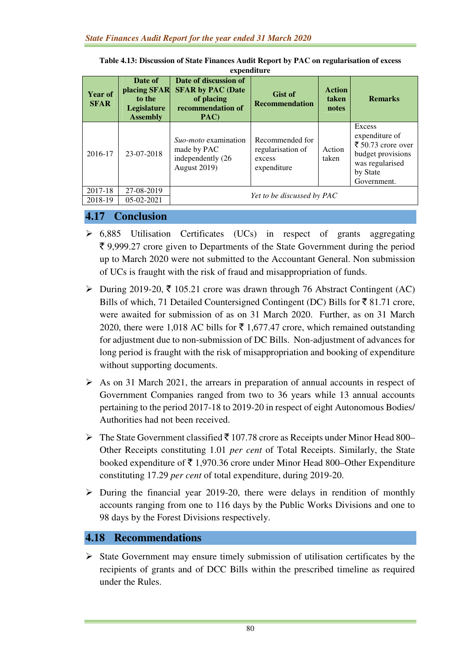| <b>Year of</b><br><b>SFAR</b> | Date of<br>placing SFAR<br>to the     | Date of discussion of<br><b>SFAR by PAC (Date</b><br>of placing                        | <b>Gist of</b><br><b>Recommendation</b>                       | <b>Action</b><br>taken | <b>Remarks</b>                                                                                                    |
|-------------------------------|---------------------------------------|----------------------------------------------------------------------------------------|---------------------------------------------------------------|------------------------|-------------------------------------------------------------------------------------------------------------------|
|                               | <b>Legislature</b><br><b>Assembly</b> | recommendation of<br>PAC)                                                              |                                                               | notes                  |                                                                                                                   |
| 2016-17                       | 23-07-2018                            | <i>Suo-moto</i> examination<br>made by PAC<br>independently (26<br><b>August 2019)</b> | Recommended for<br>regularisation of<br>excess<br>expenditure | Action<br>taken        | Excess<br>expenditure of<br>₹ 50.73 crore over<br>budget provisions<br>was regularised<br>by State<br>Government. |
| 2017-18                       | 27-08-2019                            |                                                                                        | Yet to be discussed by PAC                                    |                        |                                                                                                                   |
| 2018-19                       | $05-02-2021$                          |                                                                                        |                                                               |                        |                                                                                                                   |

**Table 4.13: Discussion of State Finances Audit Report by PAC on regularisation of excess expenditure** 

## **4.17 Conclusion**

- $\geq 6,885$  Utilisation Certificates (UCs) in respect of grants aggregating  $\bar{\xi}$  9,999.27 crore given to Departments of the State Government during the period up to March 2020 were not submitted to the Accountant General. Non submission of UCs is fraught with the risk of fraud and misappropriation of funds.
- $\triangleright$  During 2019-20,  $\overline{\tau}$  105.21 crore was drawn through 76 Abstract Contingent (AC) Bills of which, 71 Detailed Countersigned Contingent (DC) Bills for  $\bar{\xi}$  81.71 crore, were awaited for submission of as on 31 March 2020. Further, as on 31 March 2020, there were 1,018 AC bills for  $\bar{\tau}$  1,677.47 crore, which remained outstanding for adjustment due to non-submission of DC Bills. Non-adjustment of advances for long period is fraught with the risk of misappropriation and booking of expenditure without supporting documents.
- $\triangleright$  As on 31 March 2021, the arrears in preparation of annual accounts in respect of Government Companies ranged from two to 36 years while 13 annual accounts pertaining to the period 2017-18 to 2019-20 in respect of eight Autonomous Bodies/ Authorities had not been received.
- $\triangleright$  The State Government classified  $\bar{\tau}$  107.78 crore as Receipts under Minor Head 800– Other Receipts constituting 1.01 *per cent* of Total Receipts. Similarly, the State booked expenditure of  $\bar{\tau}$  1,970.36 crore under Minor Head 800–Other Expenditure constituting 17.29 *per cent* of total expenditure, during 2019-20.
- $\triangleright$  During the financial year 2019-20, there were delays in rendition of monthly accounts ranging from one to 116 days by the Public Works Divisions and one to 98 days by the Forest Divisions respectively.

# **4.18 Recommendations**

 $\triangleright$  State Government may ensure timely submission of utilisation certificates by the recipients of grants and of DCC Bills within the prescribed timeline as required under the Rules.